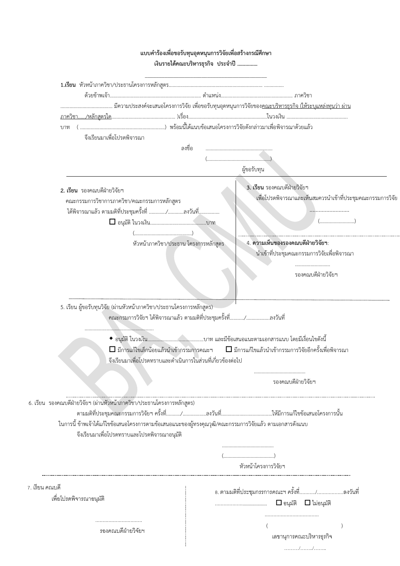| แบบคำร้องเพื่อขอรับทุนอุดหนุนการวิจัยเพื่อสร้างกรณีศึกษา<br>เงินรายได้คณะบริหารธุรกิจ ประจำปี                                                                                                                                                            |                                                                 |
|----------------------------------------------------------------------------------------------------------------------------------------------------------------------------------------------------------------------------------------------------------|-----------------------------------------------------------------|
|                                                                                                                                                                                                                                                          |                                                                 |
|                                                                                                                                                                                                                                                          |                                                                 |
|                                                                                                                                                                                                                                                          |                                                                 |
|                                                                                                                                                                                                                                                          |                                                                 |
|                                                                                                                                                                                                                                                          |                                                                 |
| จึงเรียนมาเพื่อโปรดพิจารณา                                                                                                                                                                                                                               |                                                                 |
| ลงชื่อ                                                                                                                                                                                                                                                   |                                                                 |
|                                                                                                                                                                                                                                                          |                                                                 |
|                                                                                                                                                                                                                                                          | ผู้ขอรับทุน                                                     |
|                                                                                                                                                                                                                                                          | 3. เรียน รองคณบดีฝ่ายวิจัยฯ                                     |
| 2. เรียน รองคณบดีฝ่ายวิจัยฯ                                                                                                                                                                                                                              | ้<br>เพื่อโปรดพิจารณาและเห็นสมควรนำเข้าที่ประชุมคณะกรรมการวิจัย |
| คณะกรรมการวิชาการภาควิชา/คณะกรรมการหลักสูตร<br>ได้พิจารณาแล้ว ตามมติที่ประชุมครั้งที่ /ลงวันที่                                                                                                                                                          |                                                                 |
|                                                                                                                                                                                                                                                          | $(\ldots, \ldots, \ldots, \ldots, \ldots, \ldots, \ldots))$     |
|                                                                                                                                                                                                                                                          |                                                                 |
| หัวหน้าภาควิชา/ประธาน โครงการหลักสูตร                                                                                                                                                                                                                    | 4. ความเห็นของรองคณบดีฝ่ายวิจัยฯ:                               |
|                                                                                                                                                                                                                                                          | ้นำเข้าที่ประชุมคณะกรรมการวิจัยเพื่อพิจารณา                     |
|                                                                                                                                                                                                                                                          |                                                                 |
|                                                                                                                                                                                                                                                          | รองคณบดีฝ่ายวิจัยฯ                                              |
| 5. เรียน ผู้ขอรับทุนวิจัย (ผ่านหัวหน้าภาควิชา/ประธานโครงการหลักสูตร)<br>คณะกรมการวิจัยฯ ได้พิจารณาแล้ว ตามมติที่ประชุมครั้งที่/ลงวันที่<br>$\Box$ มีการแก้ไขเล็กน้อยแล้วนำเข้ากรรมการคณะฯ<br>จึงเรียนมาเพื่อโปรดทราบและดำเนินการในส่วนที่เกี่ยวข้องต่อไป | $\Box$ มีการแก้ไขแล้วนำเข้ากรรมการวิจัยอีกครั้งเพื่อพิจารณา     |
|                                                                                                                                                                                                                                                          |                                                                 |
|                                                                                                                                                                                                                                                          | รองคณบดีฝ่ายวิจัยฯ                                              |
|                                                                                                                                                                                                                                                          |                                                                 |
| 6. เรียน รองคณบดีฝ่ายวิจัยฯ (ผ่านหัวหน้าภาควิชา/ประธานโครงการหลักสูตร)                                                                                                                                                                                   |                                                                 |
|                                                                                                                                                                                                                                                          |                                                                 |
| ในการนี้ ข้าพเจ้าได้แก้ไขข้อเสนอโครงการตามข้อเสนอแนะของผู้ทรงคุณวุฒิ/คณะกรรมการวิจัยแล้ว ตามเอกสารดังแนบ                                                                                                                                                 |                                                                 |
| จึงเรียนมาเพื่อโปรดทราบและโปรดพิจารณาอนุมัติ                                                                                                                                                                                                             |                                                                 |
|                                                                                                                                                                                                                                                          |                                                                 |
|                                                                                                                                                                                                                                                          |                                                                 |
|                                                                                                                                                                                                                                                          | หัวหน้าโครงการวิจัยฯ                                            |
| 7. เรียน คณบดี                                                                                                                                                                                                                                           |                                                                 |
| เพื่อโปรดพิจารณาอนุมัติ                                                                                                                                                                                                                                  | 8. ตามมติที่ประชุมกรรการคณะฯ ครั้งที่/ลงวันที่                  |
|                                                                                                                                                                                                                                                          |                                                                 |
|                                                                                                                                                                                                                                                          |                                                                 |
| รองคณบดีฝ่ายวิจัยฯ                                                                                                                                                                                                                                       |                                                                 |
|                                                                                                                                                                                                                                                          | เลขานุการคณะบริหารธุรกิจ                                        |
|                                                                                                                                                                                                                                                          | . / /                                                           |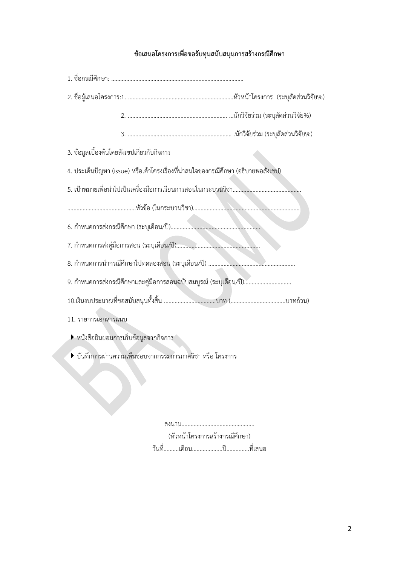## **ข้อเสนอโครงกำรเพื่อขอรับทุนสนับสนุนกำรสร้ำงกรณีศึกษำ**

| 3. ข้อมูลเบื้องต้นโดยสังเขปเกี่ยวกับกิจการ                                        |  |  |  |  |  |  |
|-----------------------------------------------------------------------------------|--|--|--|--|--|--|
| 4. ประเด็นปัญหา (issue) หรือเค้าโครงเรื่องที่น่าสนใจของกรณีศึกษา (อธิบายพอสังเขป) |  |  |  |  |  |  |
|                                                                                   |  |  |  |  |  |  |
|                                                                                   |  |  |  |  |  |  |
|                                                                                   |  |  |  |  |  |  |
|                                                                                   |  |  |  |  |  |  |
|                                                                                   |  |  |  |  |  |  |
| 9. กำหนดการส่งกรณีศึกษาและคู่มือการสอนฉบับสมบูรณ์ (ระบุเดือน/ปี)                  |  |  |  |  |  |  |
|                                                                                   |  |  |  |  |  |  |
| 11. รายการเอกสารแนบ                                                               |  |  |  |  |  |  |
| ▶ หนังสือยินยอมการเก็บข้อมูลจากกิจการ                                             |  |  |  |  |  |  |
| ▶ บันทึกการผ่านความเห็นชอบจากกรรมการภาควิชา หรือ โครงการ                          |  |  |  |  |  |  |
|                                                                                   |  |  |  |  |  |  |
|                                                                                   |  |  |  |  |  |  |

ลงนาม................................................ (หัวหน้าโครงการสร้างกรณีศึกษา) วันที่..........เดือน....................ปี...............ที่เสนอ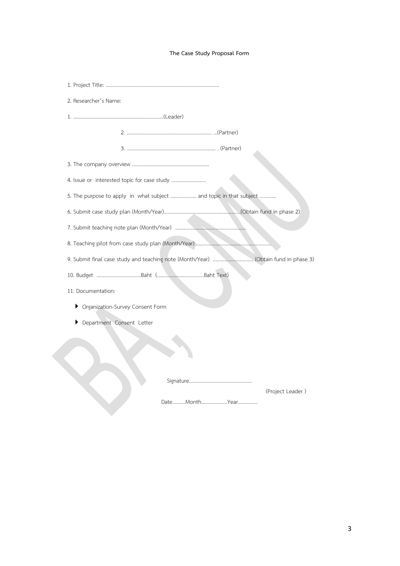#### **The Case Study Proposal Form**

| 2. Researcher's Name:                                                               |
|-------------------------------------------------------------------------------------|
|                                                                                     |
|                                                                                     |
|                                                                                     |
|                                                                                     |
| 4. Issue or interested topic for case study                                         |
| 5. The purpose to apply in what subject  and topic in that subject                  |
|                                                                                     |
|                                                                                     |
|                                                                                     |
| 9. Submit final case study and teaching note (Month/Year)  (Obtain fund in phase 3) |
|                                                                                     |
| 11. Documentation:                                                                  |
| Organization-Survey Consent Form<br>▶                                               |
| Department Consent Letter                                                           |
|                                                                                     |
|                                                                                     |
|                                                                                     |
|                                                                                     |
| (Project Leader)                                                                    |
|                                                                                     |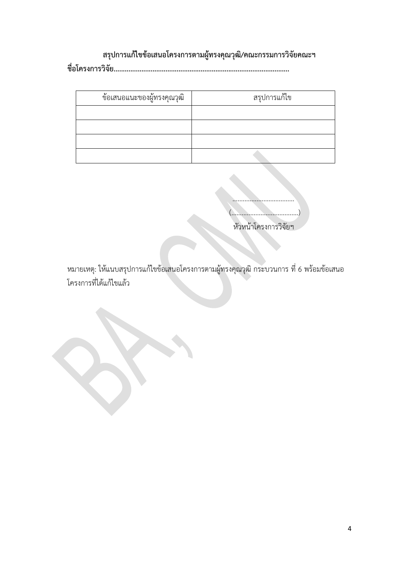# **สรุปกำรแก้ไขข้อเสนอโครงกำรตำมผู้ทรงคุณวุฒิ/คณะกรรมกำรวิจัยคณะฯ**

**ชื่อโครงกำรวิจัย...............................................................................................**

| ข้อเสนอแนะของผู้ทรงคุณวุฒิ | สรุปการแก้ไข |
|----------------------------|--------------|
|                            |              |
|                            |              |
|                            |              |
|                            |              |

|  | หัวหน้าโครงการวิจัยฯ |
|--|----------------------|

หมายเหตุ: ให้แนบสรุปการแก้ไขข้อเสนอโครงการตามผู้ทรงคุณวุฒิ กระบวนการ ที่ 6 พร้อมข้อเสนอ โครงการที่ได้แก้ไขแล้ว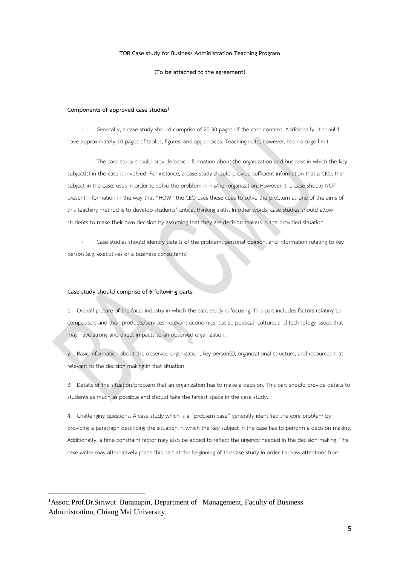#### **TOR Case study for Business Administration Teaching Program**

#### **(To be attached to the agreement)**

#### **Components of approved case studies<sup>1</sup>**

Generally, a case study should comprise of 20-30 pages of the case content. Additionally, it should have approximately 10 pages of tables, figures, and appendices. Teaching note, however, has no page limit.

The case study should provide basic information about the organization and business in which the key subject(s) in the case is involved. For instance, a case study should provide sufficient information that a CEO, the subject in the case, uses in order to solve the problem in his/her organization. However, the case should NOT present information in the way that "HOW" the CEO uses these cues to solve the problem as one of the aims of this teaching method is to develop students' critical thinking skills. In other words, case studies should allow students to make their own decision by assuming that they are decision makers in the provided situation.

Case studies should identify details of the problem, personal opinion, and information relating to key person (e.g. executives or a business consultants)

#### **Case study should comprise of 6 following parts:**

**.** 

1. Overall picture of the focal industry in which the case study is focusing. This part includes factors relating to competitors and their products/services, relevant economics, social, political, culture, and technology issues that may have strong and direct impacts to an observed organization.

2. Basic information about the observed organization, key person(s), organizational structure, and resources that relevant to the decision making in that situation.

3. Details of the situation/problem that an organization has to make a decision. This part should provide details to students as much as possible and should take the largest space in the case study.

4. Challenging questions. A case study which is a "problem case" generally identified the core problem by providing a paragraph describing the situation in which the key subject in the case has to perform a decision making. Additionally, a time constraint factor may also be added to reflect the urgency needed in the decision making. The case writer may alternatively place this part at the beginning of the case study in order to draw attentions from

<sup>1</sup>Assoc. Prof.Dr.Siriwut Buranapin, Department of Management, Faculty of Business Administration, Chiang Mai University.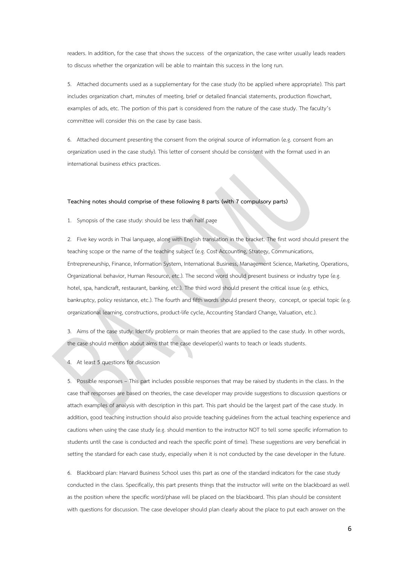readers. In addition, for the case that shows the success of the organization, the case writer usually leads readers to discuss whether the organization will be able to maintain this success in the long run.

5. Attached documents used as a supplementary for the case study (to be applied where appropriate). This part includes organization chart, minutes of meeting, brief or detailed financial statements, production flowchart, examples of ads, etc. The portion of this part is considered from the nature of the case study. The faculty's committee will consider this on the case by case basis.

6. Attached document presenting the consent from the original source of information (e.g. consent from an organization used in the case study). This letter of consent should be consistent with the format used in an international business ethics practices.

#### **Teaching notes should comprise of these following 8 parts (with 7 compulsory parts)**

1. Synopsis of the case study: should be less than half page

2. Five key words in Thai language, along with English translation in the bracket. The first word should present the teaching scope or the name of the teaching subject (e.g. Cost Accounting, Strategy, Communications, Entrepreneurship, Finance, Information System, International Business, Management Science, Marketing, Operations, Organizational behavior, Human Resource, etc.). The second word should present business or industry type (e.g. hotel, spa, handicraft, restaurant, banking, etc.). The third word should present the critical issue (e.g. ethics, bankruptcy, policy resistance, etc.). The fourth and fifth words should present theory, concept, or special topic (e.g. organizational learning, constructions, product-life cycle, Accounting Standard Change, Valuation, etc.).

3. Aims of the case study: Identify problems or main theories that are applied to the case study. In other words, the case should mention about aims that the case developer(s) wants to teach or leads students.

4. At least 5 questions for discussion

5. Possible responses – This part includes possible responses that may be raised by students in the class. In the case that responses are based on theories, the case developer may provide suggestions to discussion questions or attach examples of analysis with description in this part. This part should be the largest part of the case study. In addition, good teaching instruction should also provide teaching guidelines from the actual teaching experience and cautions when using the case study (e.g. should mention to the instructor NOT to tell some specific information to students until the case is conducted and reach the specific point of time). These suggestions are very beneficial in setting the standard for each case study, especially when it is not conducted by the case developer in the future.

6. Blackboard plan: Harvard Business School uses this part as one of the standard indicators for the case study conducted in the class. Specifically, this part presents things that the instructor will write on the blackboard as well as the position where the specific word/phase will be placed on the blackboard. This plan should be consistent with questions for discussion. The case developer should plan clearly about the place to put each answer on the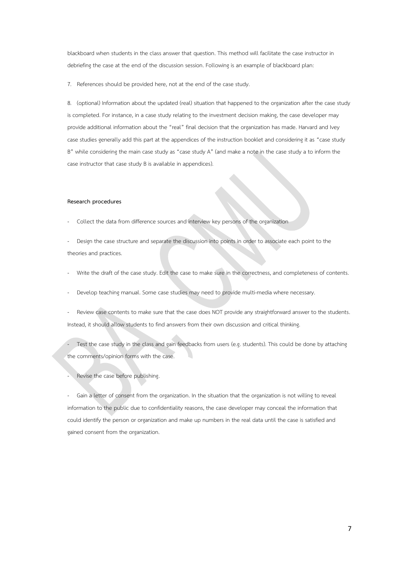blackboard when students in the class answer that question. This method will facilitate the case instructor in debriefing the case at the end of the discussion session. Following is an example of blackboard plan:

7. References should be provided here, not at the end of the case study.

8. (optional) Information about the updated (real) situation that happened to the organization after the case study is completed. For instance, in a case study relating to the investment decision making, the case developer may provide additional information about the "real" final decision that the organization has made. Harvard and Ivey case studies generally add this part at the appendices of the instruction booklet and considering it as "case study B" while considering the main case study as "case study A" (and make a note in the case study a to inform the case instructor that case study B is available in appendices).

#### **Research procedures**

- Collect the data from difference sources and interview key persons of the organization
- Design the case structure and separate the discussion into points in order to associate each point to the theories and practices.
- Write the draft of the case study. Edit the case to make sure in the correctness, and completeness of contents.
- Develop teaching manual. Some case studies may need to provide multi-media where necessary.
- Review case contents to make sure that the case does NOT provide any straightforward answer to the students. Instead, it should allow students to find answers from their own discussion and critical thinking.

Test the case study in the class and gain feedbacks from users (e.g. students). This could be done by attaching the comments/opinion forms with the case.

Revise the case before publishing.

Gain a letter of consent from the organization. In the situation that the organization is not willing to reveal information to the public due to confidentiality reasons, the case developer may conceal the information that could identify the person or organization and make up numbers in the real data until the case is satisfied and gained consent from the organization.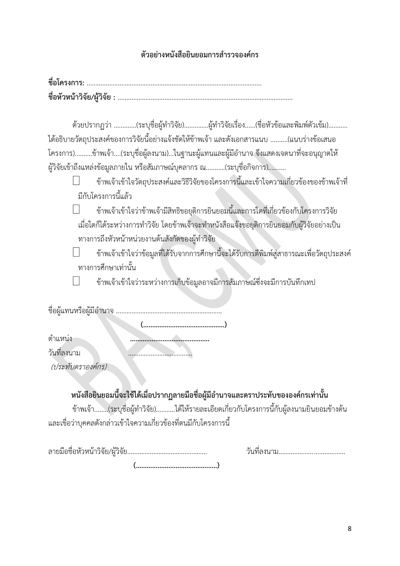### ์ ตัวอย่างหนังสือยินยอมการสำรวจองค์กร

ด้วยปรากฏว่า .............(ระบุชื่อผู้ทำวิจัย).............ผู้ทำวิจัยเรื่อง......(ชื่อหัวข้อและพิมพ์ตัวเข้ม)........... ได้อธิบายวัตถุประสงค์ของการวิจัยนี้อย่างแจ้งชัดให้ข้าพเจ้า และดังเอกสารแนบ ..........(แนบร่างข้อเสนอ โครงการ)..........ข้าพเจ้า....(ระบุชื่อผู้ลงนาม)...ในฐานะผู้แทนและผู้มีอำนาจ จึงแสดงเจตนาที่จะอนุญาตให้ ผู้วิจัยเข้าถึงแหล่งข้อมูลภายใน หรือสัมภาษณ์บุคลากร ณ...........(ระบุชื่อกิจการ)..........

- ข้าพเจ้าเข้าใจวัตถุประสงค์และวิธีวิจัยของโครงการนี้และเข้าใจความเกี่ยวข้องของข้าพเจ้าที่ มีกับโครงการนี้แล้ว
	- ข้าพเจ้าเข้าใจว่าข้าพเจ้ามีสิทธิขอยุติการยินยอมนี้และการใดที่เกี่ยวข้องกับโครงการวิจัย เมื่อใดก็ได้ระหว่างการทำวิจัย โดยข้าพเจ้าจะทำหนังสือแจ้งขอยุติการยินยอมกับผู้วิจัยอย่างเป็น ทางการถึงหัวหน้าหน่วยงานต้นสังกัดของผู้ท าวิจัย
- ข้าพเจ้าเข้าใจว่าข้อมูลที่ได้รับจากการศึกษานี้จะได้รับการตีพิมพ์สู่สาธารณะเพื่อวัตถุประสงค์ ทางการศึกษาเท่านั้น
	- ข้าพเจ้าเข้าใจว่าระหว่างการเก็บข้อมูลอาจมีการสัมภาษณ์ซึ่งจะมีการบันทึกเทป

 **(………………………………………)**

ชื่อผู้แทนหรือผู้มีอ านาจ .............................................................

ต าแหน่ง **……………………………………..** วันที่ลงนาม .....................................

(ประทับตราองค์กร)

ี หนังสือยินยอมนี้จะใช้ได้เมื่อปรากฏลายมือชื่อผู้มีอำนาจและตราประทับขององค์กรเท่านั้น

ข้าพเจ้า........(ระบุชื่อผู้ท าวิจัย)...........ได้ให้รายละเอียดเกี่ยวกับโครงการนี้กับผู้ลงนามยินยอมข้างต้น และเชื่อว่าบุคคลดังกล่าวเข้าใจความเกี่ยวข้องที่ตนมีกับโครงการนี้

ลายมือชื่อหัวหน้าวิจัย/ผู้วิจัย.............................................. วันที่ลงนาม......................................

 **(………………………………………)**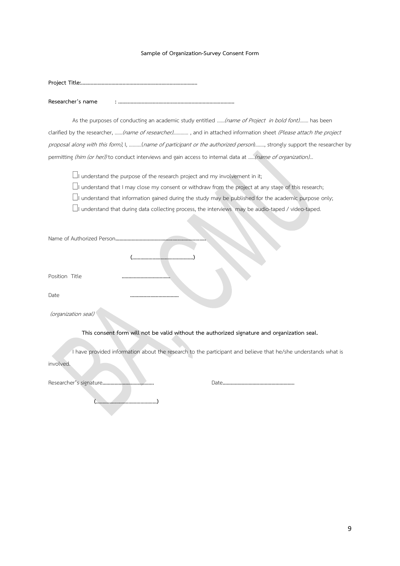#### **Sample of Organization-Survey Consent Form**

**Researcher's name : ....................................................................................**

As the purposes of conducting an academic study entitled ......(name of Project in bold font)....... has been clarified by the researcher, ......(name of researcher)............, and in attached information sheet (Please attach the project proposal along with this form), I, ……….(name of participant or the authorized person)……., strongly support the researcher by permitting (him (or her)) to conduct interviews and gain access to internal data at .....(name of organization)...

 $\Box$  understand the purpose of the research project and my involvement in it;

 $\Box$ I understand that I may close my consent or withdraw from the project at any stage of this research;

 $\Box$  understand that information gained during the study may be published for the academic purpose only;

 $\Box$ I understand that during data collecting process, the interviews may be audio-taped / video-taped.

| Position Title                                                                              |                                                                                                               |
|---------------------------------------------------------------------------------------------|---------------------------------------------------------------------------------------------------------------|
| Date                                                                                        |                                                                                                               |
| (organization seal)                                                                         |                                                                                                               |
| This consent form will not be valid without the authorized signature and organization seal. |                                                                                                               |
|                                                                                             | I have provided information about the research to the participant and believe that he/she understands what is |
| involved.                                                                                   |                                                                                                               |
|                                                                                             |                                                                                                               |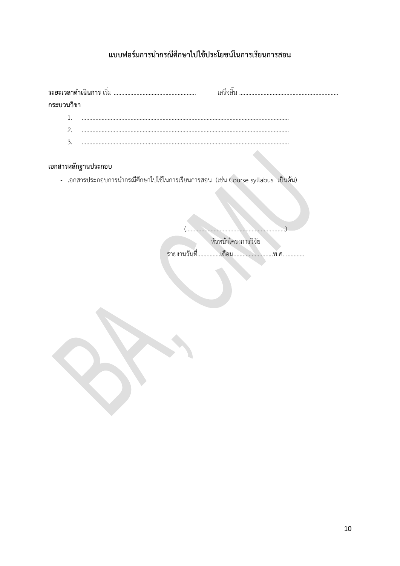# แบบฟอร์มการนำกรณีศึกษาไปใช้ประโยชน์ในการเรียนการสอน

|                     | เสร็จสิ้น                                                                        |  |
|---------------------|----------------------------------------------------------------------------------|--|
| กระบวนวิชา          |                                                                                  |  |
| 1.                  |                                                                                  |  |
| 2.                  |                                                                                  |  |
| 3.                  |                                                                                  |  |
| เอกสารหลักฐานประกอบ |                                                                                  |  |
|                     |                                                                                  |  |
|                     | - เอกสารประกอบการนำกรณีศึกษาไปใช้ในการเรียนการสอน (เช่น Course syllabus เป็นต้น) |  |
|                     |                                                                                  |  |
|                     |                                                                                  |  |
|                     | หัวหน้าโครงการวิจัย                                                              |  |
|                     | รายงานวันที่.                                                                    |  |
|                     |                                                                                  |  |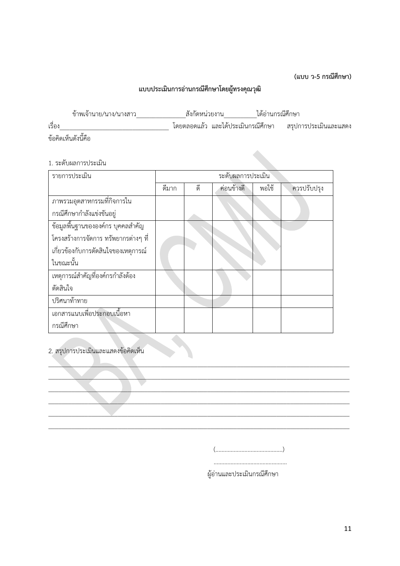**(แบบ ว-5 กรณีศึกษำ)**

# **แบบประเมินกำรอ่ำนกรณีศึกษำโดยผู้ทรงคุณวุฒิ**

| ข้าพเจ้านาย/นาง/นางสาว | สังกัดหน่วยงาน |  | ได้อ่านกรณีศึกษา |                                                           |
|------------------------|----------------|--|------------------|-----------------------------------------------------------|
| เรื่อง                 |                |  |                  | โดยตลอดแล้ว และได้ประเมินกรณีศึกษา   สรปการประเมินและแสดง |
| ข้อคิดเห็นดังนี้คือ    |                |  |                  |                                                           |

### 1. ระดับผลการประเมิน

| รายการประเมิน                        | ระดับผลการประเมิน |    |            |       |             |
|--------------------------------------|-------------------|----|------------|-------|-------------|
|                                      | ดีมาก             | ดี | ค่อนข้างดี | พอใช้ | ควรปรับปรุง |
| ภาพรวมอุตสาหกรรมที่กิจการใน          |                   |    |            |       |             |
| กรณีศึกษากำลังแข่งขันอยู่            |                   |    |            |       |             |
| ข้อมูลพื้นฐานขององค์กร บุคคลสำคัญ    |                   |    |            |       |             |
| โครงสร้างการจัดการ ทรัพยากรต่างๆ ที่ |                   |    |            |       |             |
| เกี่ยวข้องกับการตัดสินใจของเหตุการณ์ |                   |    |            |       |             |
| ในขณะนั้น                            |                   |    |            |       |             |
| เหตุการณ์สำคัญที่องค์กรกำลังต้อง     |                   |    |            |       |             |
| ตัดสินใจ                             |                   |    |            |       |             |
| ปริศนาท้าทาย                         |                   |    |            |       |             |
| เอกสารแนบเพื่อประกอบเนื้อหา          |                   |    |            |       |             |
| กรณีศึกษา                            |                   |    |            |       |             |

 $\_\_\_\_\_\_\_\_\_$  $\_\_\_\_\_\_\_\_\_\_\_\_\_$ \_\_\_\_\_\_\_\_\_\_\_\_\_\_\_\_\_\_\_\_\_\_\_\_\_\_\_\_\_\_\_\_\_\_\_\_\_\_\_\_\_\_\_\_\_\_\_\_\_\_\_\_\_\_\_\_\_\_\_\_\_\_\_\_\_\_\_\_\_\_\_\_\_\_\_\_\_\_\_\_\_\_\_\_\_\_\_\_\_\_\_ \_\_\_\_\_\_\_\_\_\_\_\_\_\_\_\_\_\_\_\_\_\_\_\_\_\_\_\_\_\_\_\_\_\_\_\_\_\_\_\_\_\_\_\_\_\_\_\_\_\_\_\_\_\_\_\_\_\_\_\_\_\_\_\_\_\_\_\_\_\_\_\_\_\_\_\_\_\_\_\_\_\_\_\_\_\_\_\_\_\_\_ \_\_\_\_\_\_\_\_\_\_\_\_\_\_\_\_\_\_\_\_\_\_\_\_\_\_\_\_\_\_\_\_\_\_\_\_\_\_\_\_\_\_\_\_\_\_\_\_\_\_\_\_\_\_\_\_\_\_\_\_\_\_\_\_\_\_\_\_\_\_\_\_\_\_\_\_\_\_\_\_\_\_\_\_\_\_\_\_\_\_\_  $\_$  ,  $\_$  ,  $\_$  ,  $\_$  ,  $\_$  ,  $\_$  ,  $\_$  ,  $\_$  ,  $\_$  ,  $\_$  ,  $\_$  ,  $\_$  ,  $\_$  ,  $\_$  ,  $\_$  ,  $\_$  ,  $\_$  ,  $\_$  ,  $\_$  ,  $\_$  ,  $\_$  ,  $\_$  ,  $\_$  ,  $\_$  ,  $\_$  ,  $\_$  ,  $\_$  ,  $\_$  ,  $\_$  ,  $\_$  ,  $\_$  ,  $\_$  ,  $\_$  ,  $\_$  ,  $\_$  ,  $\_$  ,  $\_$  ,

### 2. สรุปการประเมินและแสดงข้อคิดเห็น

(............................................)

................................................

ผู้อ่านและประเมินกรณีศึกษา